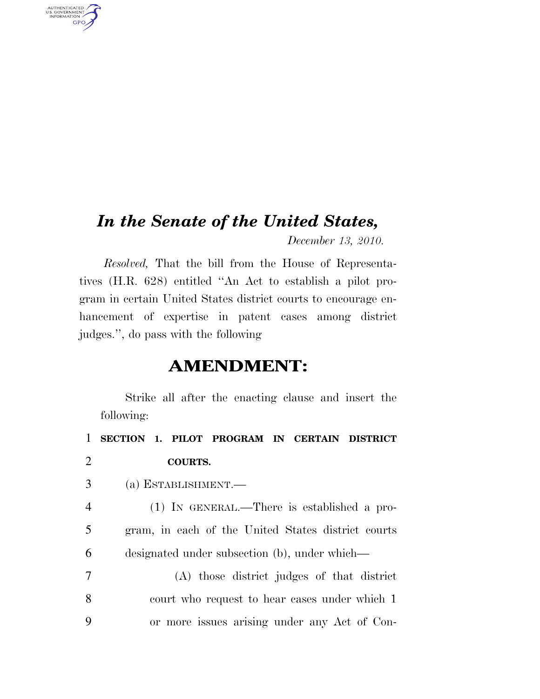## *In the Senate of the United States,*

AUTHENTICATED<br>U.S. GOVERNMENT<br>INFORMATION

**GPO** 

*December 13, 2010.* 

*Resolved,* That the bill from the House of Representatives (H.R. 628) entitled ''An Act to establish a pilot program in certain United States district courts to encourage enhancement of expertise in patent cases among district judges.'', do pass with the following

## **AMENDMENT:**

Strike all after the enacting clause and insert the following:

 **SECTION 1. PILOT PROGRAM IN CERTAIN DISTRICT**  2 **COURTS.**  (a) ESTABLISHMENT.— (1) IN GENERAL.—There is established a pro- gram, in each of the United States district courts designated under subsection (b), under which— (A) those district judges of that district court who request to hear cases under which 1 or more issues arising under any Act of Con-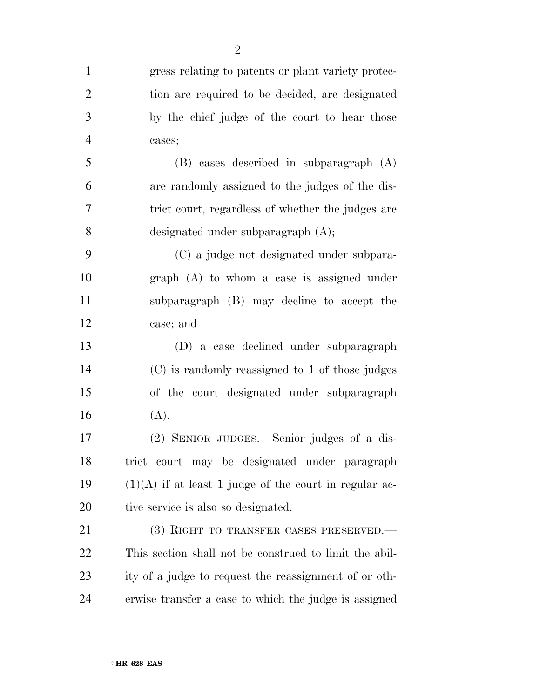| $\mathbf{1}$   | gress relating to patents or plant variety protec-       |
|----------------|----------------------------------------------------------|
| $\overline{2}$ | tion are required to be decided, are designated          |
| 3              | by the chief judge of the court to hear those            |
| $\overline{4}$ | cases;                                                   |
| 5              | (B) cases described in subparagraph (A)                  |
| 6              | are randomly assigned to the judges of the dis-          |
| 7              | trict court, regardless of whether the judges are        |
| 8              | designated under subparagraph $(A)$ ;                    |
| 9              | (C) a judge not designated under subpara-                |
| 10             | $graph(A)$ to whom a case is assigned under              |
| 11             | subparagraph (B) may decline to accept the               |
| 12             | case; and                                                |
| 13             | (D) a case declined under subparagraph                   |
| 14             | (C) is randomly reassigned to 1 of those judges          |
| 15             | of the court designated under subparagraph               |
| 16             | (A).                                                     |
| 17             | (2) SENIOR JUDGES.—Senior judges of a dis-               |
| 18             | trict court may be designated under paragraph            |
| 19             | $(1)(A)$ if at least 1 judge of the court in regular ac- |
| 20             | tive service is also so designated.                      |
| 21             | (3) RIGHT TO TRANSFER CASES PRESERVED.—                  |
| 22             | This section shall not be construed to limit the abil-   |
| 23             | ity of a judge to request the reassignment of or oth-    |
| 24             | erwise transfer a case to which the judge is assigned    |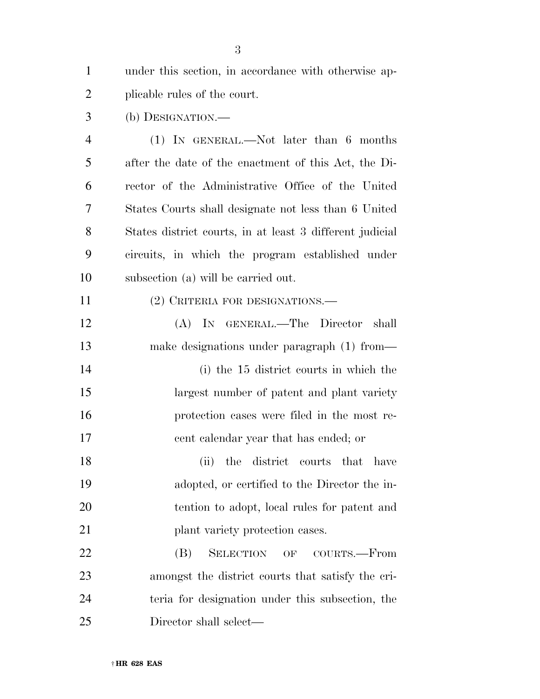under this section, in accordance with otherwise ap-plicable rules of the court.

(b) DESIGNATION.—

 (1) IN GENERAL.—Not later than 6 months after the date of the enactment of this Act, the Di- rector of the Administrative Office of the United States Courts shall designate not less than 6 United States district courts, in at least 3 different judicial circuits, in which the program established under subsection (a) will be carried out.

(2) CRITERIA FOR DESIGNATIONS.—

 (A) IN GENERAL.—The Director shall make designations under paragraph (1) from—

 (i) the 15 district courts in which the largest number of patent and plant variety protection cases were filed in the most re-cent calendar year that has ended; or

 (ii) the district courts that have adopted, or certified to the Director the in- tention to adopt, local rules for patent and **plant variety protection cases.** 

 (B) SELECTION OF COURTS.—From amongst the district courts that satisfy the cri- teria for designation under this subsection, the Director shall select—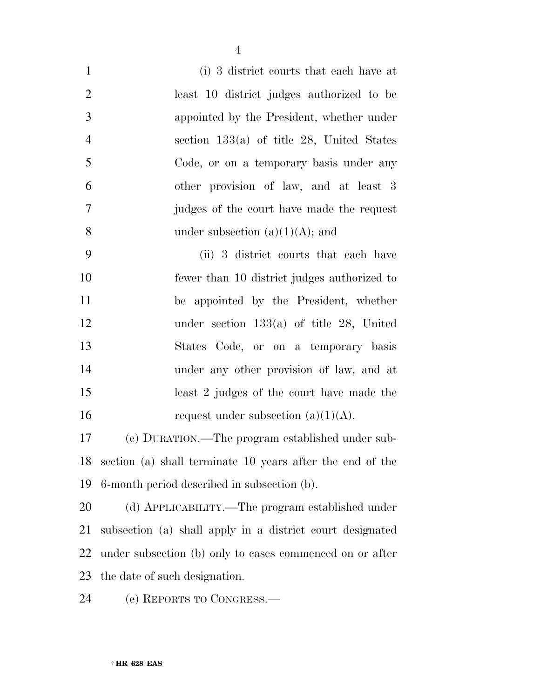| $\mathbf{1}$   | (i) 3 district courts that each have at     |
|----------------|---------------------------------------------|
| 2              | least 10 district judges authorized to be   |
| 3              | appointed by the President, whether under   |
| $\overline{4}$ | section $133(a)$ of title 28, United States |
|                |                                             |

 section 133(a) of title 28, United States Code, or on a temporary basis under any other provision of law, and at least 3 judges of the court have made the request 8 under subsection  $(a)(1)(A)$ ; and

 (ii) 3 district courts that each have fewer than 10 district judges authorized to be appointed by the President, whether under section 133(a) of title 28, United States Code, or on a temporary basis under any other provision of law, and at least 2 judges of the court have made the 16 request under subsection  $(a)(1)(A)$ .

 (c) DURATION.—The program established under sub- section (a) shall terminate 10 years after the end of the 6-month period described in subsection (b).

 (d) APPLICABILITY.—The program established under subsection (a) shall apply in a district court designated under subsection (b) only to cases commenced on or after the date of such designation.

(e) REPORTS TO CONGRESS.—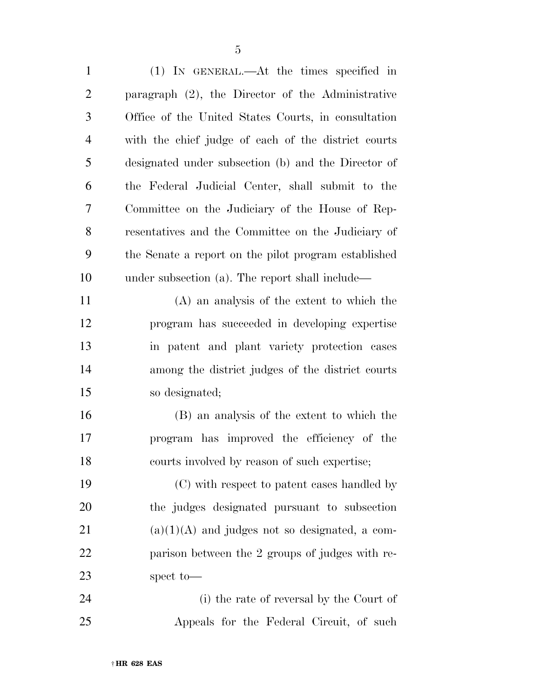(1) IN GENERAL.—At the times specified in paragraph (2), the Director of the Administrative Office of the United States Courts, in consultation with the chief judge of each of the district courts designated under subsection (b) and the Director of the Federal Judicial Center, shall submit to the Committee on the Judiciary of the House of Rep- resentatives and the Committee on the Judiciary of the Senate a report on the pilot program established under subsection (a). The report shall include—

 (A) an analysis of the extent to which the program has succeeded in developing expertise in patent and plant variety protection cases among the district judges of the district courts so designated;

 (B) an analysis of the extent to which the program has improved the efficiency of the courts involved by reason of such expertise;

 (C) with respect to patent cases handled by the judges designated pursuant to subsection (a)(1)(A) and judges not so designated, a com- parison between the 2 groups of judges with re-spect to—

 (i) the rate of reversal by the Court of Appeals for the Federal Circuit, of such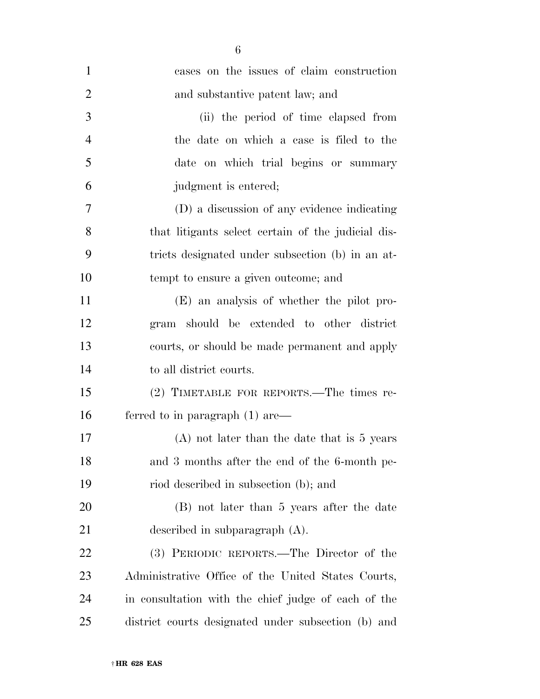| $\mathbf{1}$   | cases on the issues of claim construction           |
|----------------|-----------------------------------------------------|
| $\overline{2}$ | and substantive patent law; and                     |
| 3              | (ii) the period of time elapsed from                |
| $\overline{4}$ | the date on which a case is filed to the            |
| 5              | date on which trial begins or summary               |
| 6              | judgment is entered;                                |
| 7              | (D) a discussion of any evidence indicating         |
| 8              | that litigants select certain of the judicial dis-  |
| 9              | tricts designated under subsection (b) in an at-    |
| 10             | tempt to ensure a given outcome; and                |
| 11             | (E) an analysis of whether the pilot pro-           |
| 12             | gram should be extended to other district           |
| 13             | courts, or should be made permanent and apply       |
| 14             | to all district courts.                             |
| 15             | (2) TIMETABLE FOR REPORTS.—The times re-            |
| 16             | ferred to in paragraph $(1)$ are—                   |
| 17             | $(A)$ not later than the date that is 5 years       |
| 18             | and 3 months after the end of the 6-month pe-       |
| 19             | riod described in subsection (b); and               |
| 20             | (B) not later than 5 years after the date           |
| 21             | described in subparagraph $(A)$ .                   |
| 22             | (3) PERIODIC REPORTS.—The Director of the           |
| 23             | Administrative Office of the United States Courts,  |
| 24             | in consultation with the chief judge of each of the |
| 25             | district courts designated under subsection (b) and |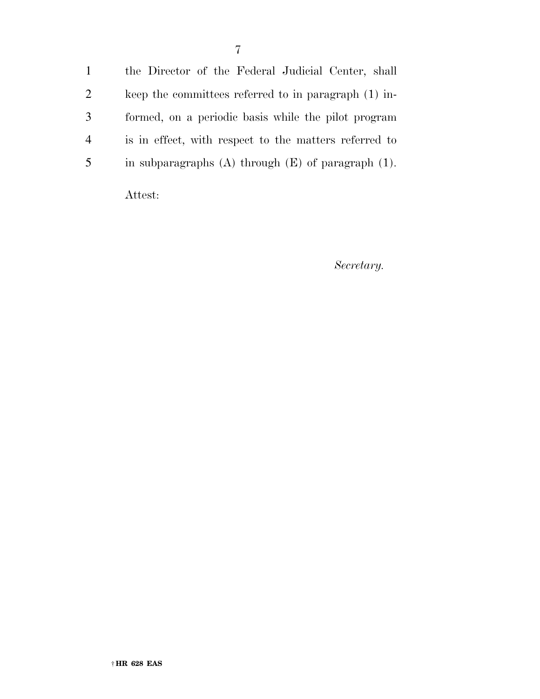the Director of the Federal Judicial Center, shall keep the committees referred to in paragraph (1) in- formed, on a periodic basis while the pilot program is in effect, with respect to the matters referred to in subparagraphs (A) through (E) of paragraph (1).

Attest:

*Secretary.*